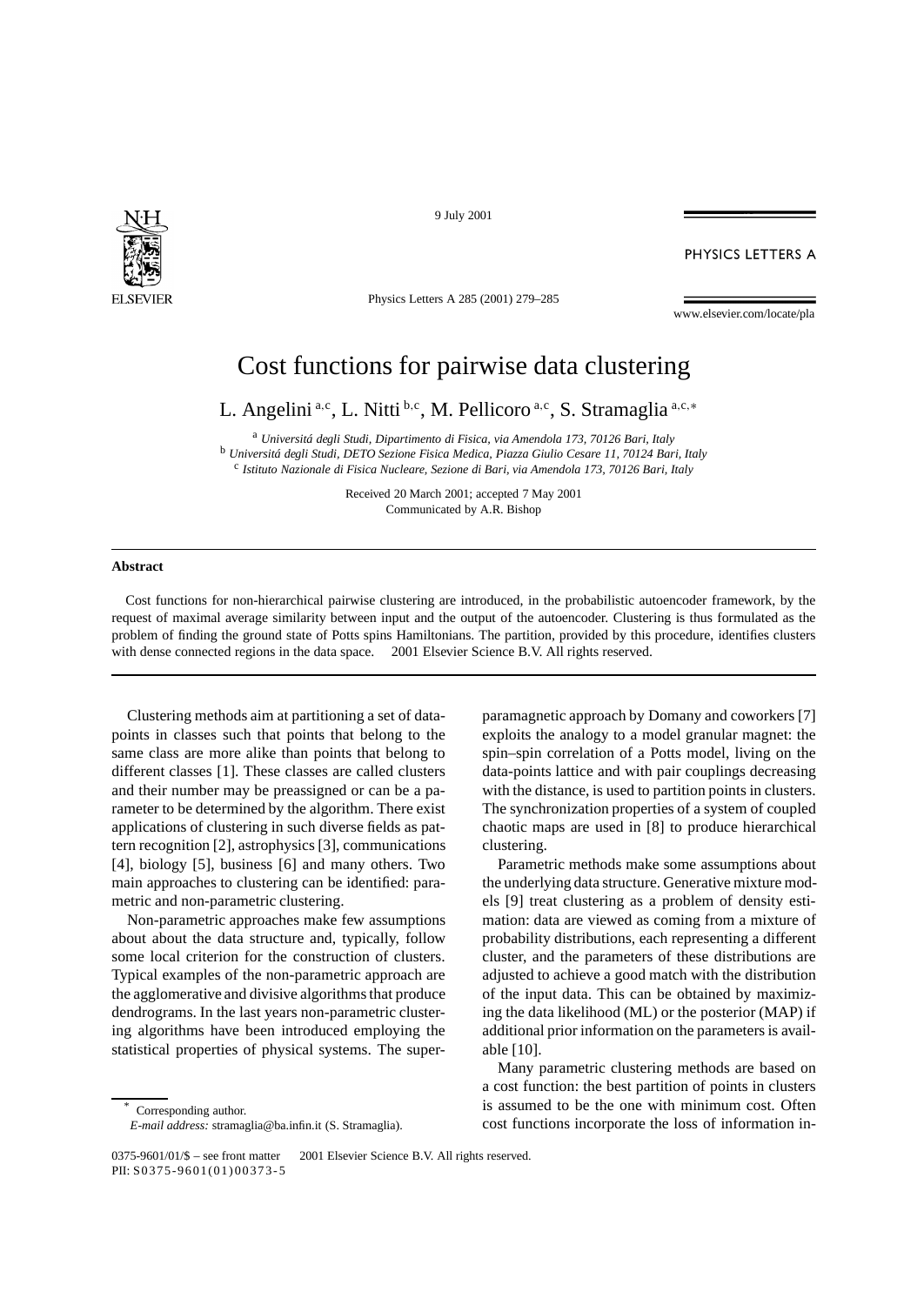

9 July 2001

PHYSICS LETTERS A

Physics Letters A 285 (2001) 279–285

www.elsevier.com/locate/pla

## Cost functions for pairwise data clustering

L. Angelini<sup>a,c</sup>, L. Nitti <sup>b,c</sup>, M. Pellicoro<sup>a,c</sup>, S. Stramaglia<sup>a,c,\*</sup>

<sup>a</sup> *Universitá degli Studi, Dipartimento di Fisica, via Amendola 173, 70126 Bari, Italy*

<sup>b</sup> *Universitá degli Studi, DETO Sezione Fisica Medica, Piazza Giulio Cesare 11, 70124 Bari, Italy*

<sup>c</sup> *Istituto Nazionale di Fisica Nucleare, Sezione di Bari, via Amendola 173, 70126 Bari, Italy*

Received 20 March 2001; accepted 7 May 2001 Communicated by A.R. Bishop

## **Abstract**

Cost functions for non-hierarchical pairwise clustering are introduced, in the probabilistic autoencoder framework, by the request of maximal average similarity between input and the output of the autoencoder. Clustering is thus formulated as the problem of finding the ground state of Potts spins Hamiltonians. The partition, provided by this procedure, identifies clusters with dense connected regions in the data space.  $\odot$  2001 Elsevier Science B.V. All rights reserved.

Clustering methods aim at partitioning a set of datapoints in classes such that points that belong to the same class are more alike than points that belong to different classes [1]. These classes are called clusters and their number may be preassigned or can be a parameter to be determined by the algorithm. There exist applications of clustering in such diverse fields as pattern recognition [2], astrophysics [3], communications [4], biology [5], business [6] and many others. Two main approaches to clustering can be identified: parametric and non-parametric clustering.

Non-parametric approaches make few assumptions about about the data structure and, typically, follow some local criterion for the construction of clusters. Typical examples of the non-parametric approach are the agglomerative and divisive algorithms that produce dendrograms. In the last years non-parametric clustering algorithms have been introduced employing the statistical properties of physical systems. The super-

Corresponding author.

paramagnetic approach by Domany and coworkers [7] exploits the analogy to a model granular magnet: the spin–spin correlation of a Potts model, living on the data-points lattice and with pair couplings decreasing with the distance, is used to partition points in clusters. The synchronization properties of a system of coupled chaotic maps are used in [8] to produce hierarchical clustering.

Parametric methods make some assumptions about the underlying data structure. Generative mixture models [9] treat clustering as a problem of density estimation: data are viewed as coming from a mixture of probability distributions, each representing a different cluster, and the parameters of these distributions are adjusted to achieve a good match with the distribution of the input data. This can be obtained by maximizing the data likelihood (ML) or the posterior (MAP) if additional prior information on the parameters is available [10].

Many parametric clustering methods are based on a cost function: the best partition of points in clusters is assumed to be the one with minimum cost. Often cost functions incorporate the loss of information in-

*E-mail address:* stramaglia@ba.infin.it (S. Stramaglia).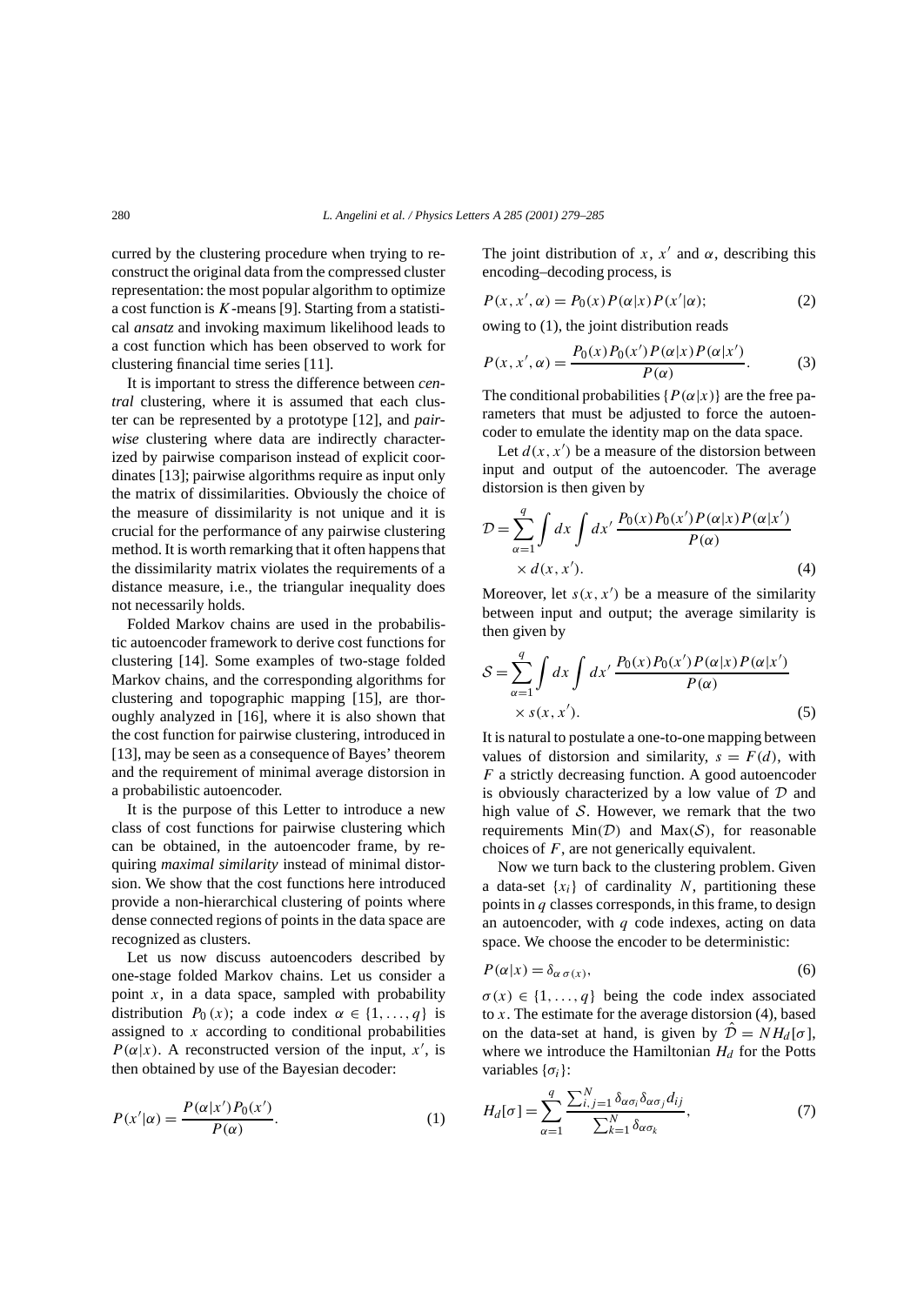curred by the clustering procedure when trying to reconstruct the original data from the compressed cluster representation: the most popular algorithm to optimize a cost function is *K*-means [9]. Starting from a statistical *ansatz* and invoking maximum likelihood leads to a cost function which has been observed to work for clustering financial time series [11].

It is important to stress the difference between *central* clustering, where it is assumed that each cluster can be represented by a prototype [12], and *pairwise* clustering where data are indirectly characterized by pairwise comparison instead of explicit coordinates [13]; pairwise algorithms require as input only the matrix of dissimilarities. Obviously the choice of the measure of dissimilarity is not unique and it is crucial for the performance of any pairwise clustering method. It is worth remarking that it often happens that the dissimilarity matrix violates the requirements of a distance measure, i.e., the triangular inequality does not necessarily holds.

Folded Markov chains are used in the probabilistic autoencoder framework to derive cost functions for clustering [14]. Some examples of two-stage folded Markov chains, and the corresponding algorithms for clustering and topographic mapping [15], are thoroughly analyzed in [16], where it is also shown that the cost function for pairwise clustering, introduced in [13], may be seen as a consequence of Bayes' theorem and the requirement of minimal average distorsion in a probabilistic autoencoder.

It is the purpose of this Letter to introduce a new class of cost functions for pairwise clustering which can be obtained, in the autoencoder frame, by requiring *maximal similarity* instead of minimal distorsion. We show that the cost functions here introduced provide a non-hierarchical clustering of points where dense connected regions of points in the data space are recognized as clusters.

Let us now discuss autoencoders described by one-stage folded Markov chains. Let us consider a point  $x$ , in a data space, sampled with probability distribution  $P_0(x)$ ; a code index  $\alpha \in \{1, ..., q\}$  is assigned to *x* according to conditional probabilities  $P(\alpha|x)$ . A reconstructed version of the input, *x'*, is then obtained by use of the Bayesian decoder:

$$
P(x'|\alpha) = \frac{P(\alpha|x')P_0(x')}{P(\alpha)}.
$$
 (1)

The joint distribution of *x*,  $x'$  and  $\alpha$ , describing this encoding–decoding process, is

$$
P(x, x', \alpha) = P_0(x)P(\alpha|x)P(x'|\alpha); \qquad (2)
$$

owing to (1), the joint distribution reads

$$
P(x, x', \alpha) = \frac{P_0(x)P_0(x')P(\alpha|x)P(\alpha|x')}{P(\alpha)}.
$$
 (3)

The conditional probabilities  ${P(\alpha|x)}$  are the free parameters that must be adjusted to force the autoencoder to emulate the identity map on the data space.

Let  $d(x, x')$  be a measure of the distorsion between input and output of the autoencoder. The average distorsion is then given by

$$
\mathcal{D} = \sum_{\alpha=1}^{q} \int dx \int dx' \frac{P_0(x)P_0(x')P(\alpha|x)P(\alpha|x')}{P(\alpha)} \times d(x, x'). \tag{4}
$$

Moreover, let  $s(x, x')$  be a measure of the similarity between input and output; the average similarity is then given by

$$
S = \sum_{\alpha=1}^{q} \int dx \int dx' \frac{P_0(x)P_0(x')P(\alpha|x)P(\alpha|x')}{P(\alpha)}
$$
  
×  $s(x, x')$ . (5)

It is natural to postulate a one-to-one mapping between values of distorsion and similarity,  $s = F(d)$ , with *F* a strictly decreasing function. A good autoencoder is obviously characterized by a low value of  $D$  and high value of  $S$ . However, we remark that the two requirements  $Min(\mathcal{D})$  and  $Max(\mathcal{S})$ , for reasonable choices of *F*, are not generically equivalent.

Now we turn back to the clustering problem. Given a data-set  $\{x_i\}$  of cardinality *N*, partitioning these points in *q* classes corresponds, in this frame, to design an autoencoder, with *q* code indexes, acting on data space. We choose the encoder to be deterministic:

$$
P(\alpha|x) = \delta_{\alpha \sigma(x)},\tag{6}
$$

 $\sigma(x) \in \{1, \ldots, q\}$  being the code index associated to  $x$ . The estimate for the average distorsion  $(4)$ , based on the data-set at hand, is given by  $\hat{\mathcal{D}} = NH_d[\sigma]$ , where we introduce the Hamiltonian  $H_d$  for the Potts variables {*σi*}:

$$
H_d[\sigma] = \sum_{\alpha=1}^{q} \frac{\sum_{i,j=1}^{N} \delta_{\alpha \sigma_i} \delta_{\alpha \sigma_j} d_{ij}}{\sum_{k=1}^{N} \delta_{\alpha \sigma_k}},
$$
(7)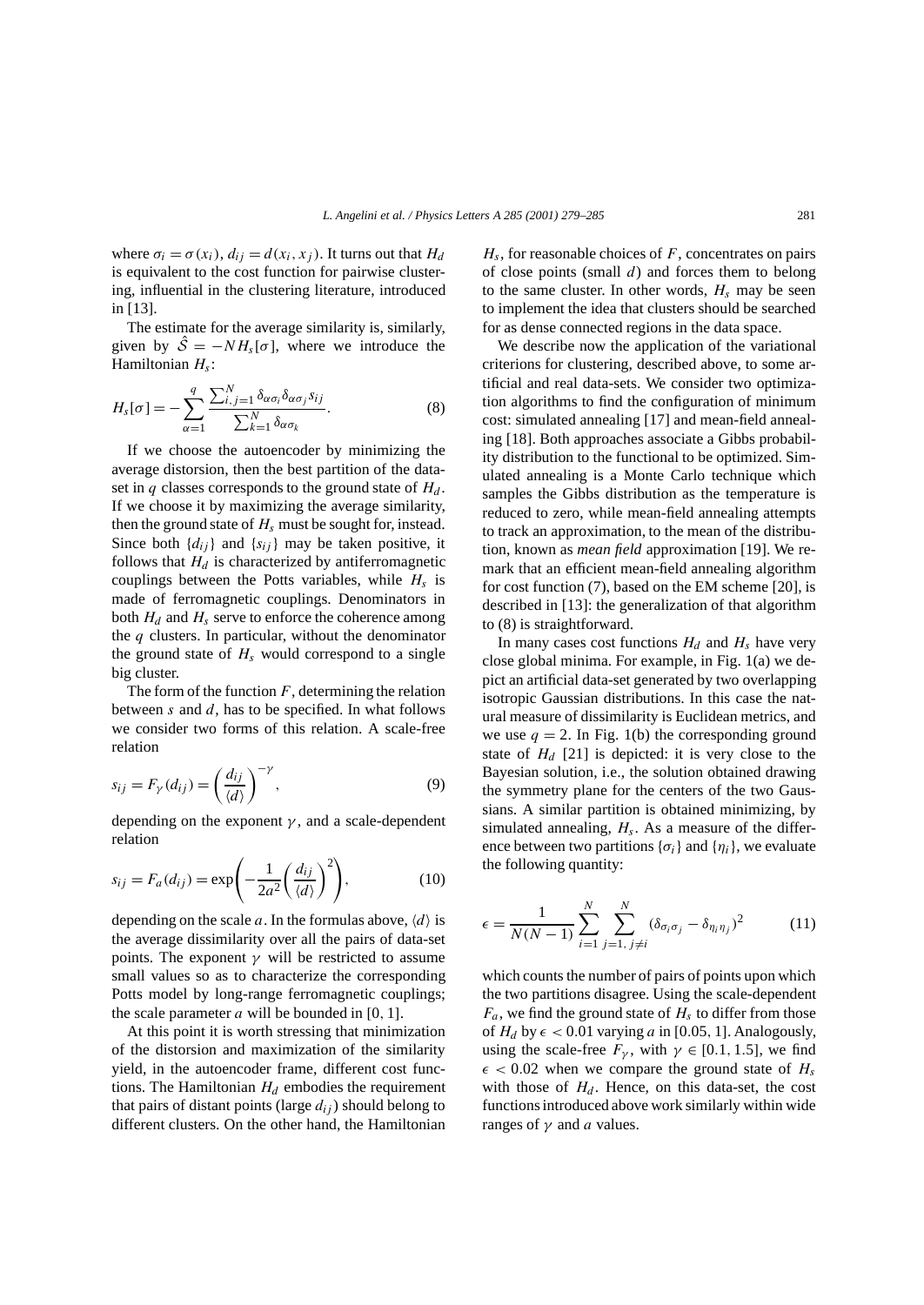where  $\sigma_i = \sigma(x_i)$ ,  $d_{ij} = d(x_i, x_j)$ . It turns out that  $H_d$ is equivalent to the cost function for pairwise clustering, influential in the clustering literature, introduced in [13].

The estimate for the average similarity is, similarly, given by  $\hat{S} = -NH_s[\sigma]$ , where we introduce the Hamiltonian *Hs*:

$$
H_{s}[\sigma] = -\sum_{\alpha=1}^{q} \frac{\sum_{i,j=1}^{N} \delta_{\alpha \sigma_{i}} \delta_{\alpha \sigma_{j}} s_{ij}}{\sum_{k=1}^{N} \delta_{\alpha \sigma_{k}}}.
$$
 (8)

If we choose the autoencoder by minimizing the average distorsion, then the best partition of the dataset in *q* classes corresponds to the ground state of  $H_d$ . If we choose it by maximizing the average similarity, then the ground state of  $H_s$  must be sought for, instead. Since both  $\{d_{ij}\}\$  and  $\{s_{ij}\}\$  may be taken positive, it follows that  $H_d$  is characterized by antiferromagnetic couplings between the Potts variables, while  $H_s$  is made of ferromagnetic couplings. Denominators in both  $H_d$  and  $H_s$  serve to enforce the coherence among the *q* clusters. In particular, without the denominator the ground state of  $H_s$  would correspond to a single big cluster.

The form of the function  $F$ , determining the relation between *s* and *d*, has to be specified. In what follows we consider two forms of this relation. A scale-free relation

$$
s_{ij} = F_{\gamma}(d_{ij}) = \left(\frac{d_{ij}}{\langle d \rangle}\right)^{-\gamma},\tag{9}
$$

depending on the exponent  $\gamma$ , and a scale-dependent relation

$$
s_{ij} = F_a(d_{ij}) = \exp\left(-\frac{1}{2a^2} \left(\frac{d_{ij}}{\langle d \rangle}\right)^2\right),\tag{10}
$$

depending on the scale *a*. In the formulas above,  $\langle d \rangle$  is the average dissimilarity over all the pairs of data-set points. The exponent  $\gamma$  will be restricted to assume small values so as to characterize the corresponding Potts model by long-range ferromagnetic couplings; the scale parameter *a* will be bounded in [0*,* 1].

At this point it is worth stressing that minimization of the distorsion and maximization of the similarity yield, in the autoencoder frame, different cost functions. The Hamiltonian  $H_d$  embodies the requirement that pairs of distant points (large  $d_{ij}$ ) should belong to different clusters. On the other hand, the Hamiltonian

*Hs*, for reasonable choices of *F*, concentrates on pairs of close points (small *d*) and forces them to belong to the same cluster. In other words,  $H_s$  may be seen to implement the idea that clusters should be searched for as dense connected regions in the data space.

We describe now the application of the variational criterions for clustering, described above, to some artificial and real data-sets. We consider two optimization algorithms to find the configuration of minimum cost: simulated annealing [17] and mean-field annealing [18]. Both approaches associate a Gibbs probability distribution to the functional to be optimized. Simulated annealing is a Monte Carlo technique which samples the Gibbs distribution as the temperature is reduced to zero, while mean-field annealing attempts to track an approximation, to the mean of the distribution, known as *mean field* approximation [19]. We remark that an efficient mean-field annealing algorithm for cost function (7), based on the EM scheme [20], is described in [13]: the generalization of that algorithm to (8) is straightforward.

In many cases cost functions  $H_d$  and  $H_s$  have very close global minima. For example, in Fig. 1(a) we depict an artificial data-set generated by two overlapping isotropic Gaussian distributions. In this case the natural measure of dissimilarity is Euclidean metrics, and we use  $q = 2$ . In Fig. 1(b) the corresponding ground state of  $H_d$  [21] is depicted: it is very close to the Bayesian solution, i.e., the solution obtained drawing the symmetry plane for the centers of the two Gaussians. A similar partition is obtained minimizing, by simulated annealing,  $H_s$ . As a measure of the difference between two partitions  $\{\sigma_i\}$  and  $\{\eta_i\}$ , we evaluate the following quantity:

$$
\epsilon = \frac{1}{N(N-1)} \sum_{i=1}^{N} \sum_{j=1, j \neq i}^{N} (\delta_{\sigma_i \sigma_j} - \delta_{\eta_i \eta_j})^2
$$
(11)

which counts the number of pairs of points upon which the two partitions disagree. Using the scale-dependent  $F_a$ , we find the ground state of  $H_s$  to differ from those of  $H_d$  by  $\epsilon$  < 0.01 varying *a* in [0.05, 1]. Analogously, using the scale-free  $F_{\gamma}$ , with  $\gamma \in [0.1, 1.5]$ , we find  $\epsilon$  < 0.02 when we compare the ground state of *H<sub>s</sub>* with those of  $H_d$ . Hence, on this data-set, the cost functions introduced above work similarly within wide ranges of  $\gamma$  and *a* values.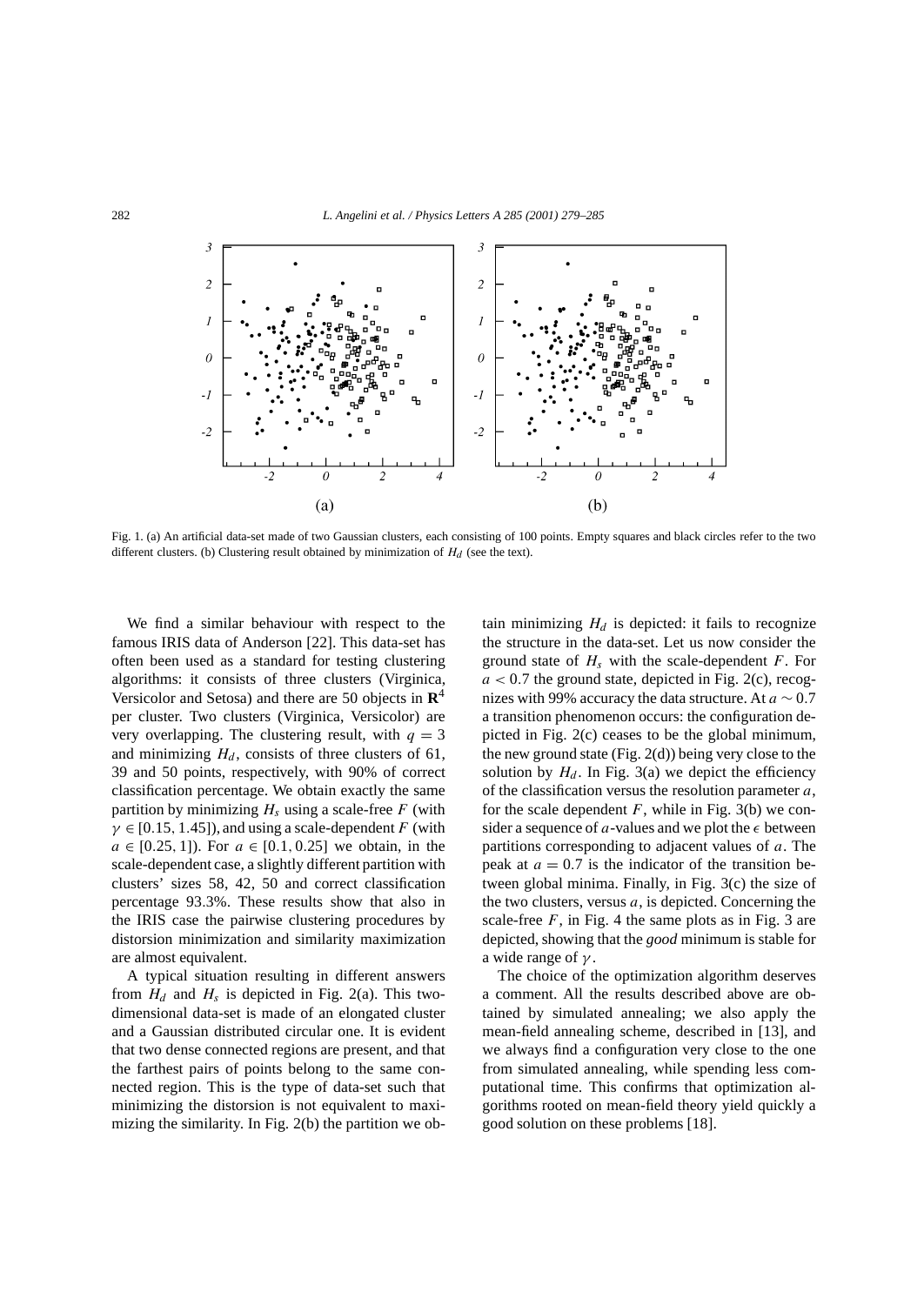

Fig. 1. (a) An artificial data-set made of two Gaussian clusters, each consisting of 100 points. Empty squares and black circles refer to the two different clusters. (b) Clustering result obtained by minimization of  $H_d$  (see the text).

We find a similar behaviour with respect to the famous IRIS data of Anderson [22]. This data-set has often been used as a standard for testing clustering algorithms: it consists of three clusters (Virginica, Versicolor and Setosa) and there are 50 objects in **R**<sup>4</sup> per cluster. Two clusters (Virginica, Versicolor) are very overlapping. The clustering result, with  $q = 3$ and minimizing  $H_d$ , consists of three clusters of 61, 39 and 50 points, respectively, with 90% of correct classification percentage. We obtain exactly the same partition by minimizing  $H_s$  using a scale-free  $F$  (with  $\gamma \in [0.15, 1.45]$ , and using a scale-dependent *F* (with *a* ∈ [0*.*25*,* 1]). For *a* ∈ [0*.*1*,* 0*.*25] we obtain, in the scale-dependent case, a slightly different partition with clusters' sizes 58, 42, 50 and correct classification percentage 93*.*3%. These results show that also in the IRIS case the pairwise clustering procedures by distorsion minimization and similarity maximization are almost equivalent.

A typical situation resulting in different answers from  $H_d$  and  $H_s$  is depicted in Fig. 2(a). This twodimensional data-set is made of an elongated cluster and a Gaussian distributed circular one. It is evident that two dense connected regions are present, and that the farthest pairs of points belong to the same connected region. This is the type of data-set such that minimizing the distorsion is not equivalent to maximizing the similarity. In Fig. 2(b) the partition we obtain minimizing  $H_d$  is depicted: it fails to recognize the structure in the data-set. Let us now consider the ground state of *Hs* with the scale-dependent *F*. For  $a < 0.7$  the ground state, depicted in Fig. 2(c), recognizes with 99% accuracy the data structure. At *a* ∼ 0*.*7 a transition phenomenon occurs: the configuration depicted in Fig. 2(c) ceases to be the global minimum, the new ground state (Fig.  $2(d)$ ) being very close to the solution by  $H_d$ . In Fig. 3(a) we depict the efficiency of the classification versus the resolution parameter *a*, for the scale dependent  $F$ , while in Fig. 3(b) we consider a sequence of  $a$ -values and we plot the  $\epsilon$  between partitions corresponding to adjacent values of *a*. The peak at  $a = 0.7$  is the indicator of the transition between global minima. Finally, in Fig. 3(c) the size of the two clusters, versus *a*, is depicted. Concerning the scale-free  $F$ , in Fig. 4 the same plots as in Fig. 3 are depicted, showing that the *good* minimum is stable for a wide range of *γ* .

The choice of the optimization algorithm deserves a comment. All the results described above are obtained by simulated annealing; we also apply the mean-field annealing scheme, described in [13], and we always find a configuration very close to the one from simulated annealing, while spending less computational time. This confirms that optimization algorithms rooted on mean-field theory yield quickly a good solution on these problems [18].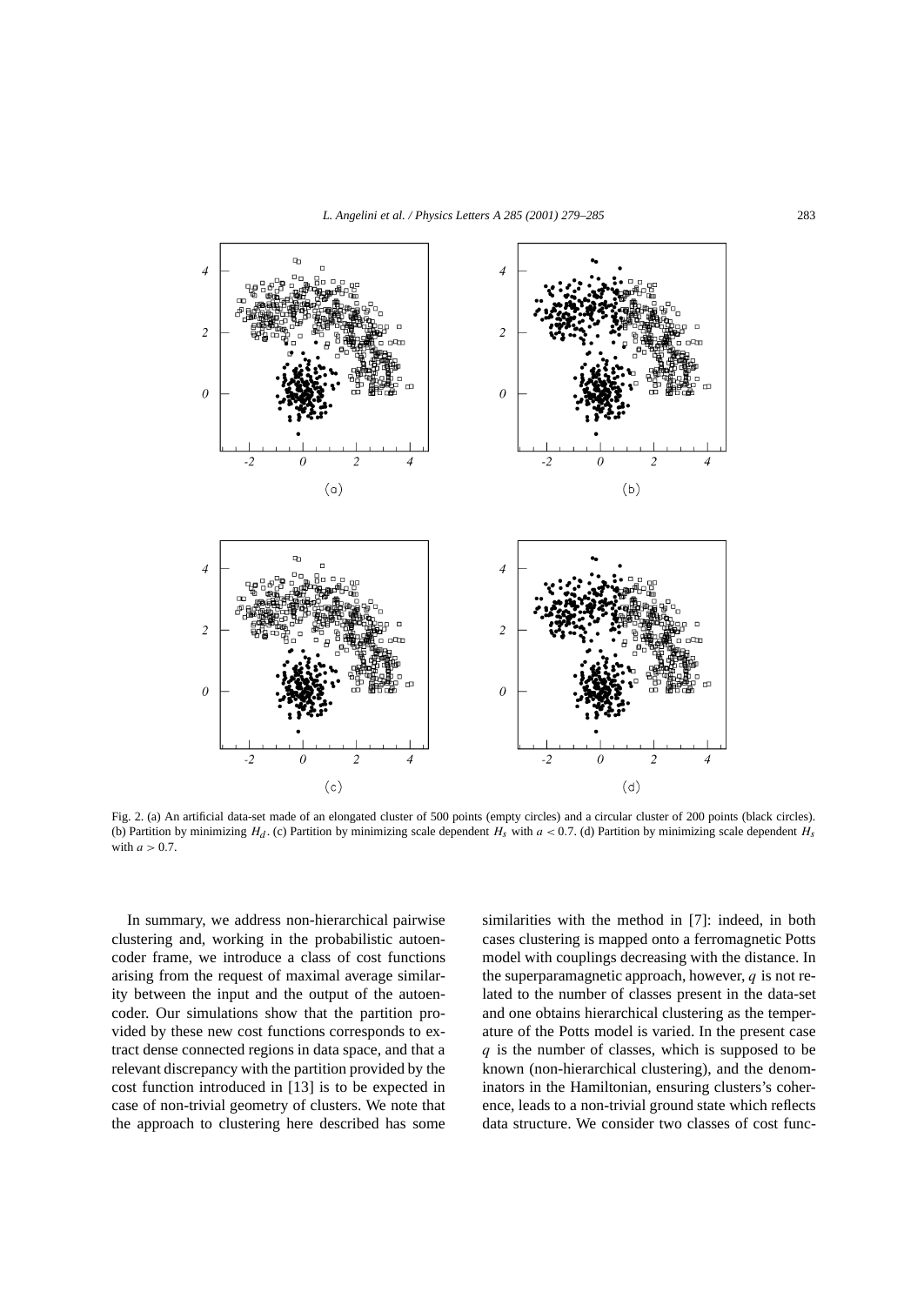

Fig. 2. (a) An artificial data-set made of an elongated cluster of 500 points (empty circles) and a circular cluster of 200 points (black circles). (b) Partition by minimizing  $H_d$ . (c) Partition by minimizing scale dependent  $H_s$  with  $a < 0.7$ . (d) Partition by minimizing scale dependent  $H_s$ with *a >* 0*.*7.

In summary, we address non-hierarchical pairwise clustering and, working in the probabilistic autoencoder frame, we introduce a class of cost functions arising from the request of maximal average similarity between the input and the output of the autoencoder. Our simulations show that the partition provided by these new cost functions corresponds to extract dense connected regions in data space, and that a relevant discrepancy with the partition provided by the cost function introduced in [13] is to be expected in case of non-trivial geometry of clusters. We note that the approach to clustering here described has some

similarities with the method in [7]: indeed, in both cases clustering is mapped onto a ferromagnetic Potts model with couplings decreasing with the distance. In the superparamagnetic approach, however, *q* is not related to the number of classes present in the data-set and one obtains hierarchical clustering as the temperature of the Potts model is varied. In the present case *q* is the number of classes, which is supposed to be known (non-hierarchical clustering), and the denominators in the Hamiltonian, ensuring clusters's coherence, leads to a non-trivial ground state which reflects data structure. We consider two classes of cost func-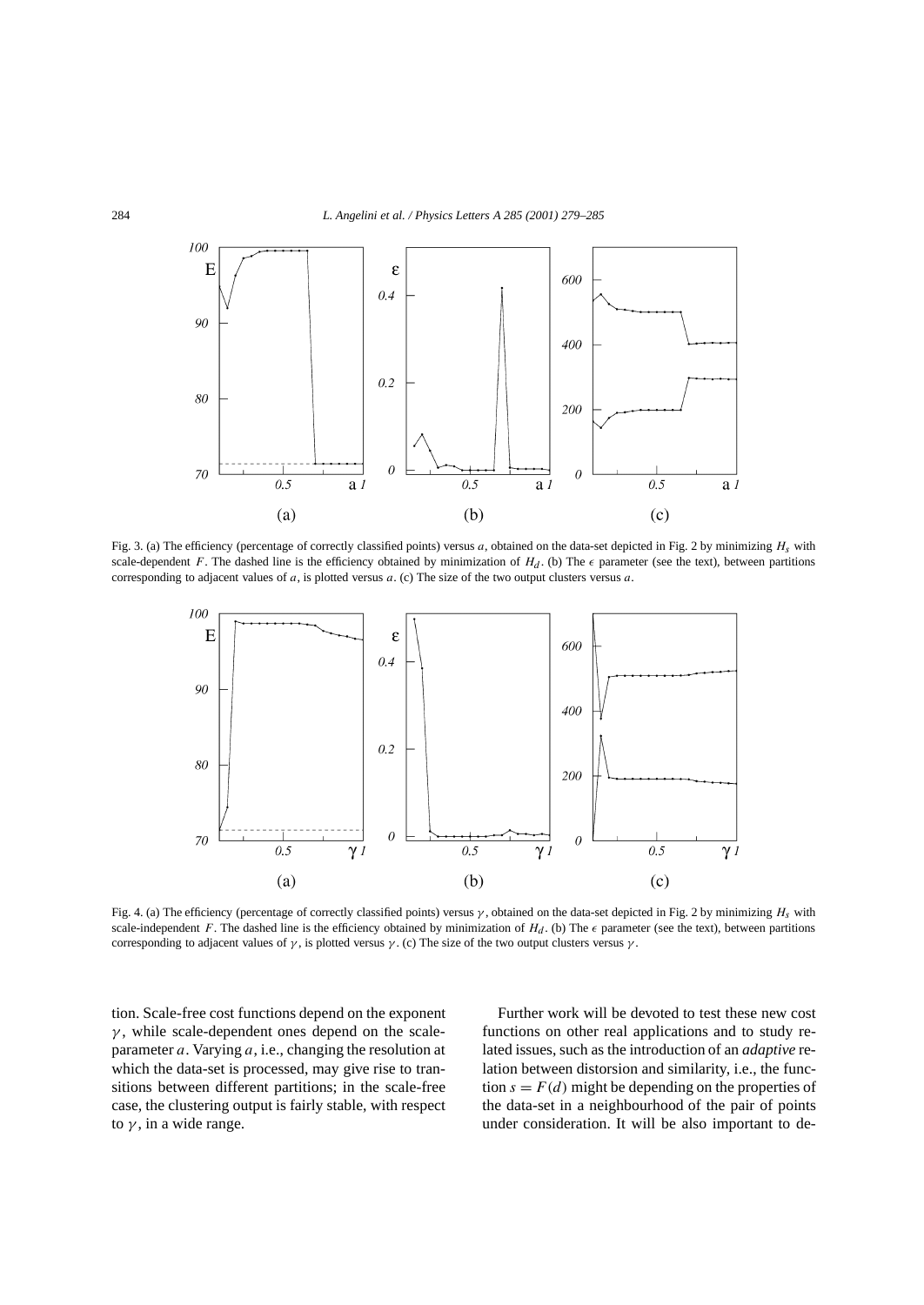

Fig. 3. (a) The efficiency (percentage of correctly classified points) versus *a*, obtained on the data-set depicted in Fig. 2 by minimizing *Hs* with scale-dependent *F*. The dashed line is the efficiency obtained by minimization of  $H_d$ . (b) The  $\epsilon$  parameter (see the text), between partitions corresponding to adjacent values of *a*, is plotted versus *a*. (c) The size of the two output clusters versus *a*.



Fig. 4. (a) The efficiency (percentage of correctly classified points) versus *γ* , obtained on the data-set depicted in Fig. 2 by minimizing *Hs* with scale-independent *F*. The dashed line is the efficiency obtained by minimization of  $H_d$ . (b) The  $\epsilon$  parameter (see the text), between partitions corresponding to adjacent values of  $\gamma$ , is plotted versus  $\gamma$ . (c) The size of the two output clusters versus  $\gamma$ .

tion. Scale-free cost functions depend on the exponent *γ* , while scale-dependent ones depend on the scaleparameter *a*. Varying *a*, i.e., changing the resolution at which the data-set is processed, may give rise to transitions between different partitions; in the scale-free case, the clustering output is fairly stable, with respect to  $\gamma$ , in a wide range.

Further work will be devoted to test these new cost functions on other real applications and to study related issues, such as the introduction of an *adaptive* relation between distorsion and similarity, i.e., the function  $s = F(d)$  might be depending on the properties of the data-set in a neighbourhood of the pair of points under consideration. It will be also important to de